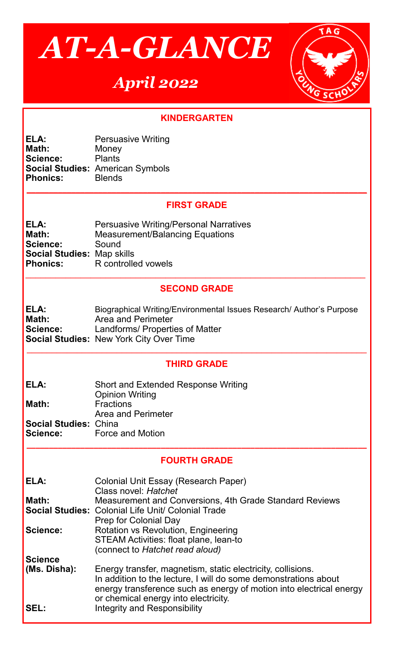

# *April 2022*



## **KINDERGARTEN**

| ELA:            | <b>Persuasive Writing</b>               |
|-----------------|-----------------------------------------|
| Math:           | Money                                   |
| <b>Science:</b> | <b>Plants</b>                           |
|                 | <b>Social Studies: American Symbols</b> |
| <b>Phonics:</b> | <b>Blends</b>                           |

#### **FIRST GRADE**

**\_\_\_\_\_\_\_\_\_\_\_\_\_\_\_\_\_\_\_\_\_\_\_\_\_\_\_\_\_\_\_\_\_\_\_\_\_\_\_\_\_\_\_\_\_\_\_\_\_\_\_\_\_\_\_\_\_\_\_\_\_\_\_\_\_\_\_\_\_\_\_\_\_\_\_\_**

| ELA:                              | <b>Persuasive Writing/Personal Narratives</b> |
|-----------------------------------|-----------------------------------------------|
| Math:                             | <b>Measurement/Balancing Equations</b>        |
| Science:                          | Sound                                         |
| <b>Social Studies: Map skills</b> |                                               |
| <b>Phonics:</b>                   | R controlled vowels                           |

## **SECOND GRADE**

 $\mathcal{L}_\mathcal{L} = \mathcal{L}_\mathcal{L} = \mathcal{L}_\mathcal{L} = \mathcal{L}_\mathcal{L} = \mathcal{L}_\mathcal{L} = \mathcal{L}_\mathcal{L} = \mathcal{L}_\mathcal{L} = \mathcal{L}_\mathcal{L} = \mathcal{L}_\mathcal{L} = \mathcal{L}_\mathcal{L} = \mathcal{L}_\mathcal{L} = \mathcal{L}_\mathcal{L} = \mathcal{L}_\mathcal{L} = \mathcal{L}_\mathcal{L} = \mathcal{L}_\mathcal{L} = \mathcal{L}_\mathcal{L} = \mathcal{L}_\mathcal{L}$ 

**ELA:** Biographical Writing/Environmental Issues Research/ Author's Purpose **Math: Area and Perimeter<br>
<b>Science:** Landforms/ Properti Landforms/ Properties of Matter **Social Studies:** New York City Over Time

## **THIRD GRADE**

 $\_$ 

| ELA:                         | <b>Short and Extended Response Writing</b> |
|------------------------------|--------------------------------------------|
|                              | <b>Opinion Writing</b>                     |
| Math:                        | <b>Fractions</b>                           |
|                              | Area and Perimeter                         |
| <b>Social Studies: China</b> |                                            |
| Science:                     | <b>Force and Motion</b>                    |

#### **FOURTH GRADE**

**\_\_\_\_\_\_\_\_\_\_\_\_\_\_\_\_\_\_\_\_\_\_\_\_\_\_\_\_\_\_\_\_\_\_\_\_\_\_\_\_\_\_\_\_\_\_\_\_\_\_\_\_\_\_\_\_\_\_\_\_\_\_\_\_\_\_\_\_\_\_\_\_\_\_\_\_**

| ELA:                        | Colonial Unit Essay (Research Paper)<br>Class novel: Hatchet                                                                                                                                                                                                                         |
|-----------------------------|--------------------------------------------------------------------------------------------------------------------------------------------------------------------------------------------------------------------------------------------------------------------------------------|
| Math:                       | <b>Measurement and Conversions, 4th Grade Standard Reviews</b><br><b>Social Studies: Colonial Life Unit/ Colonial Trade</b>                                                                                                                                                          |
| Science:                    | <b>Rotation vs Revolution, Engineering</b><br><b>STEAM Activities: float plane, lean-to</b><br>(connect to Hatchet read aloud)                                                                                                                                                       |
| <b>Science</b>              |                                                                                                                                                                                                                                                                                      |
| (Ms. Disha):<br><b>SEL:</b> | Energy transfer, magnetism, static electricity, collisions.<br>In addition to the lecture, I will do some demonstrations about<br>energy transference such as energy of motion into electrical energy<br>or chemical energy into electricity.<br><b>Integrity and Responsibility</b> |
|                             | Prep for Colonial Day                                                                                                                                                                                                                                                                |